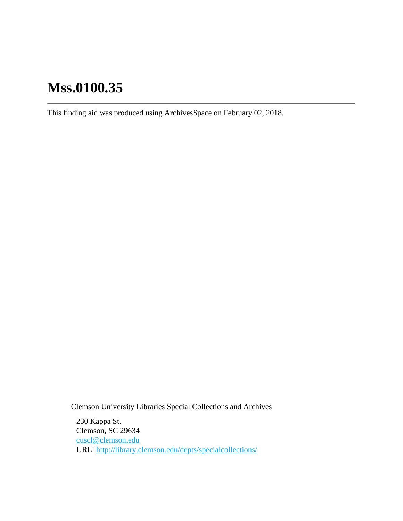# **Mss.0100.35**

This finding aid was produced using ArchivesSpace on February 02, 2018.

Clemson University Libraries Special Collections and Archives

230 Kappa St. Clemson, SC 29634 [cuscl@clemson.edu](mailto:cuscl@clemson.edu) URL:<http://library.clemson.edu/depts/specialcollections/>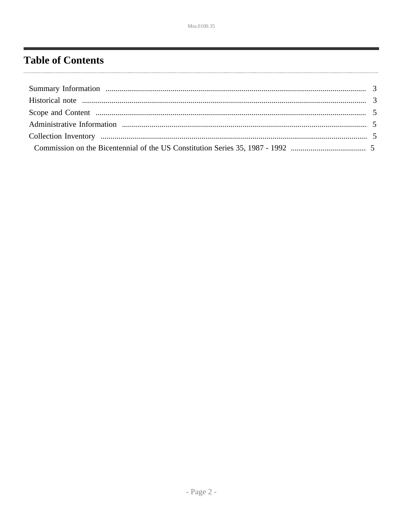# <span id="page-1-0"></span>**Table of Contents**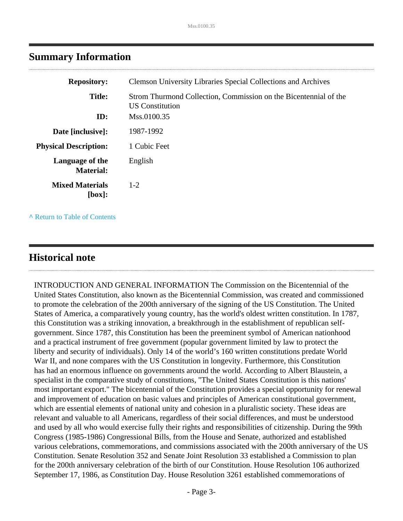<span id="page-2-0"></span>

| <b>Repository:</b>                  | <b>Clemson University Libraries Special Collections and Archives</b>                               |
|-------------------------------------|----------------------------------------------------------------------------------------------------|
| <b>Title:</b><br>ID:                | Strom Thurmond Collection, Commission on the Bicentennial of the<br>US Constitution<br>Mss.0100.35 |
| Date [inclusive]:                   | 1987-1992                                                                                          |
|                                     | 1 Cubic Feet                                                                                       |
| <b>Physical Description:</b>        |                                                                                                    |
| Language of the<br><b>Material:</b> | English                                                                                            |
| <b>Mixed Materials</b><br>[box]:    | $1 - 2$                                                                                            |
|                                     |                                                                                                    |

**^** [Return to Table of Contents](#page-1-0)

### <span id="page-2-1"></span>**Historical note**

INTRODUCTION AND GENERAL INFORMATION The Commission on the Bicentennial of the United States Constitution, also known as the Bicentennial Commission, was created and commissioned to promote the celebration of the 200th anniversary of the signing of the US Constitution. The United States of America, a comparatively young country, has the world's oldest written constitution. In 1787, this Constitution was a striking innovation, a breakthrough in the establishment of republican selfgovernment. Since 1787, this Constitution has been the preeminent symbol of American nationhood and a practical instrument of free government (popular government limited by law to protect the liberty and security of individuals). Only 14 of the world's 160 written constitutions predate World War II, and none compares with the US Constitution in longevity. Furthermore, this Constitution has had an enormous influence on governments around the world. According to Albert Blaustein, a specialist in the comparative study of constitutions, "The United States Constitution is this nations' most important export." The bicentennial of the Constitution provides a special opportunity for renewal and improvement of education on basic values and principles of American constitutional government, which are essential elements of national unity and cohesion in a pluralistic society. These ideas are relevant and valuable to all Americans, regardless of their social differences, and must be understood and used by all who would exercise fully their rights and responsibilities of citizenship. During the 99th Congress (1985-1986) Congressional Bills, from the House and Senate, authorized and established various celebrations, commemorations, and commissions associated with the 200th anniversary of the US Constitution. Senate Resolution 352 and Senate Joint Resolution 33 established a Commission to plan for the 200th anniversary celebration of the birth of our Constitution. House Resolution 106 authorized September 17, 1986, as Constitution Day. House Resolution 3261 established commemorations of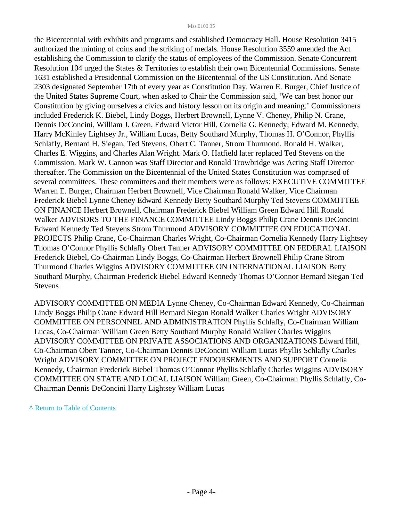#### Mss.0100.35

the Bicentennial with exhibits and programs and established Democracy Hall. House Resolution 3415 authorized the minting of coins and the striking of medals. House Resolution 3559 amended the Act establishing the Commission to clarify the status of employees of the Commission. Senate Concurrent Resolution 104 urged the States & Territories to establish their own Bicentennial Commissions. Senate 1631 established a Presidential Commission on the Bicentennial of the US Constitution. And Senate 2303 designated September 17th of every year as Constitution Day. Warren E. Burger, Chief Justice of the United States Supreme Court, when asked to Chair the Commission said, 'We can best honor our Constitution by giving ourselves a civics and history lesson on its origin and meaning.' Commissioners included Frederick K. Biebel, Lindy Boggs, Herbert Brownell, Lynne V. Cheney, Philip N. Crane, Dennis DeConcini, William J. Green, Edward Victor Hill, Cornelia G. Kennedy, Edward M. Kennedy, Harry McKinley Lightsey Jr., William Lucas, Betty Southard Murphy, Thomas H. O'Connor, Phyllis Schlafly, Bernard H. Siegan, Ted Stevens, Obert C. Tanner, Strom Thurmond, Ronald H. Walker, Charles E. Wiggins, and Charles Alan Wright. Mark O. Hatfield later replaced Ted Stevens on the Commission. Mark W. Cannon was Staff Director and Ronald Trowbridge was Acting Staff Director thereafter. The Commission on the Bicentennial of the United States Constitution was comprised of several committees. These committees and their members were as follows: EXECUTIVE COMMITTEE Warren E. Burger, Chairman Herbert Brownell, Vice Chairman Ronald Walker, Vice Chairman Frederick Biebel Lynne Cheney Edward Kennedy Betty Southard Murphy Ted Stevens COMMITTEE ON FINANCE Herbert Brownell, Chairman Frederick Biebel William Green Edward Hill Ronald Walker ADVISORS TO THE FINANCE COMMITTEE Lindy Boggs Philip Crane Dennis DeConcini Edward Kennedy Ted Stevens Strom Thurmond ADVISORY COMMITTEE ON EDUCATIONAL PROJECTS Philip Crane, Co-Chairman Charles Wright, Co-Chairman Cornelia Kennedy Harry Lightsey Thomas O'Connor Phyllis Schlafly Obert Tanner ADVISORY COMMITTEE ON FEDERAL LIAISON Frederick Biebel, Co-Chairman Lindy Boggs, Co-Chairman Herbert Brownell Philip Crane Strom Thurmond Charles Wiggins ADVISORY COMMITTEE ON INTERNATIONAL LIAISON Betty Southard Murphy, Chairman Frederick Biebel Edward Kennedy Thomas O'Connor Bernard Siegan Ted Stevens

ADVISORY COMMITTEE ON MEDIA Lynne Cheney, Co-Chairman Edward Kennedy, Co-Chairman Lindy Boggs Philip Crane Edward Hill Bernard Siegan Ronald Walker Charles Wright ADVISORY COMMITTEE ON PERSONNEL AND ADMINISTRATION Phyllis Schlafly, Co-Chairman William Lucas, Co-Chairman William Green Betty Southard Murphy Ronald Walker Charles Wiggins ADVISORY COMMITTEE ON PRIVATE ASSOCIATIONS AND ORGANIZATIONS Edward Hill, Co-Chairman Obert Tanner, Co-Chairman Dennis DeConcini William Lucas Phyllis Schlafly Charles Wright ADVISORY COMMITTEE ON PROJECT ENDORSEMENTS AND SUPPORT Cornelia Kennedy, Chairman Frederick Biebel Thomas O'Connor Phyllis Schlafly Charles Wiggins ADVISORY COMMITTEE ON STATE AND LOCAL LIAISON William Green, Co-Chairman Phyllis Schlafly, Co-Chairman Dennis DeConcini Harry Lightsey William Lucas

**^** [Return to Table of Contents](#page-1-0)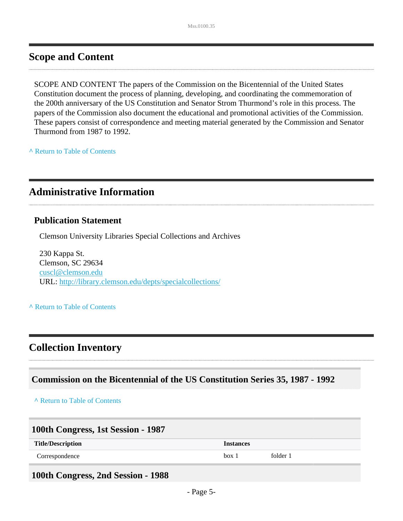### <span id="page-4-0"></span>**Scope and Content**

SCOPE AND CONTENT The papers of the Commission on the Bicentennial of the United States Constitution document the process of planning, developing, and coordinating the commemoration of the 200th anniversary of the US Constitution and Senator Strom Thurmond's role in this process. The papers of the Commission also document the educational and promotional activities of the Commission. These papers consist of correspondence and meeting material generated by the Commission and Senator Thurmond from 1987 to 1992.

**^** [Return to Table of Contents](#page-1-0)

### <span id="page-4-1"></span>**Administrative Information**

#### **Publication Statement**

Clemson University Libraries Special Collections and Archives

230 Kappa St. Clemson, SC 29634 [cuscl@clemson.edu](mailto:cuscl@clemson.edu) URL:<http://library.clemson.edu/depts/specialcollections/>

#### **^** [Return to Table of Contents](#page-1-0)

### <span id="page-4-2"></span>**Collection Inventory**

#### <span id="page-4-3"></span>**Commission on the Bicentennial of the US Constitution Series 35, 1987 - 1992**

**^** [Return to Table of Contents](#page-1-0)

| 100th Congress, 1st Session - 1987 |                  |          |  |
|------------------------------------|------------------|----------|--|
| <b>Title/Description</b>           | <b>Instances</b> |          |  |
| Correspondence                     | box 1            | folder 1 |  |

#### **100th Congress, 2nd Session - 1988**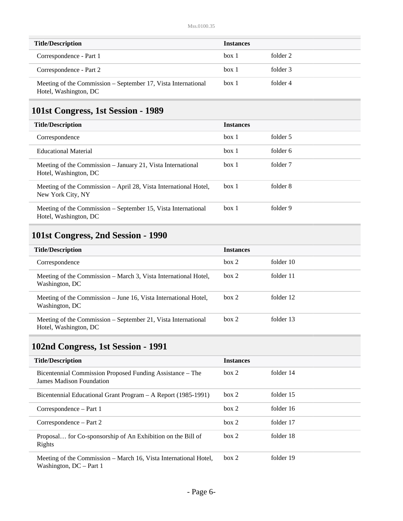| <b>Title/Description</b>                                                               | <b>Instances</b> |          |
|----------------------------------------------------------------------------------------|------------------|----------|
| Correspondence - Part 1                                                                | box 1            | folder 2 |
| Correspondence - Part 2                                                                | box 1            | folder 3 |
| Meeting of the Commission – September 17, Vista International<br>Hotel, Washington, DC | box 1            | folder 4 |

# **101st Congress, 1st Session - 1989**

| <b>Title/Description</b>                                                               | <b>Instances</b> |          |
|----------------------------------------------------------------------------------------|------------------|----------|
| Correspondence                                                                         | box 1            | folder 5 |
| <b>Educational Material</b>                                                            | box 1            | folder 6 |
| Meeting of the Commission – January 21, Vista International<br>Hotel, Washington, DC   | box 1            | folder 7 |
| Meeting of the Commission – April 28, Vista International Hotel,<br>New York City, NY  | box 1            | folder 8 |
| Meeting of the Commission – September 15, Vista International<br>Hotel, Washington, DC | box 1            | folder 9 |

## **101st Congress, 2nd Session - 1990**

| <b>Title/Description</b>                                                               | <b>Instances</b> |           |
|----------------------------------------------------------------------------------------|------------------|-----------|
| Correspondence                                                                         | box 2            | folder 10 |
| Meeting of the Commission – March 3, Vista International Hotel,<br>Washington, DC      | box 2            | folder 11 |
| Meeting of the Commission – June 16, Vista International Hotel,<br>Washington, DC      | box 2            | folder 12 |
| Meeting of the Commission – September 21, Vista International<br>Hotel, Washington, DC | box 2            | folder 13 |

## **102nd Congress, 1st Session - 1991**

| <b>Title/Description</b>                                                                      | <b>Instances</b> |           |
|-----------------------------------------------------------------------------------------------|------------------|-----------|
| Bicentennial Commission Proposed Funding Assistance – The<br><b>James Madison Foundation</b>  | box 2            | folder 14 |
| Bicentennial Educational Grant Program – A Report (1985-1991)                                 | box 2            | folder 15 |
| Correspondence – Part 1                                                                       | box 2            | folder 16 |
| Correspondence – Part 2                                                                       | box 2            | folder 17 |
| Proposal for Co-sponsorship of An Exhibition on the Bill of<br>Rights                         | box 2            | folder 18 |
| Meeting of the Commission – March 16, Vista International Hotel,<br>Washington, $DC$ – Part 1 | box 2            | folder 19 |